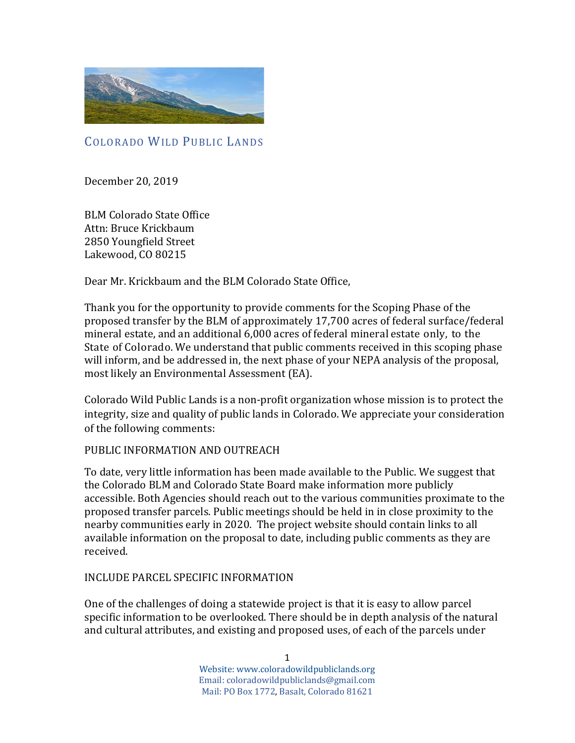

COLORADO WILD PUBLIC LANDS

December 20, 2019

BLM Colorado State Office Attn: Bruce Krickbaum 2850 Youngfield Street Lakewood, CO 80215

Dear Mr. Krickbaum and the BLM Colorado State Office,

Thank you for the opportunity to provide comments for the Scoping Phase of the proposed transfer by the BLM of approximately 17,700 acres of federal surface/federal mineral estate, and an additional 6,000 acres of federal mineral estate only, to the State of Colorado. We understand that public comments received in this scoping phase will inform, and be addressed in, the next phase of your NEPA analysis of the proposal, most likely an Environmental Assessment (EA).

Colorado Wild Public Lands is a non-profit organization whose mission is to protect the integrity, size and quality of public lands in Colorado. We appreciate your consideration of the following comments:

### PUBLIC INFORMATION AND OUTREACH

To date, very little information has been made available to the Public. We suggest that the Colorado BLM and Colorado State Board make information more publicly accessible. Both Agencies should reach out to the various communities proximate to the proposed transfer parcels. Public meetings should be held in in close proximity to the nearby communities early in 2020. The project website should contain links to all available information on the proposal to date, including public comments as they are received.

#### INCLUDE PARCEL SPECIFIC INFORMATION

One of the challenges of doing a statewide project is that it is easy to allow parcel specific information to be overlooked. There should be in depth analysis of the natural and cultural attributes, and existing and proposed uses, of each of the parcels under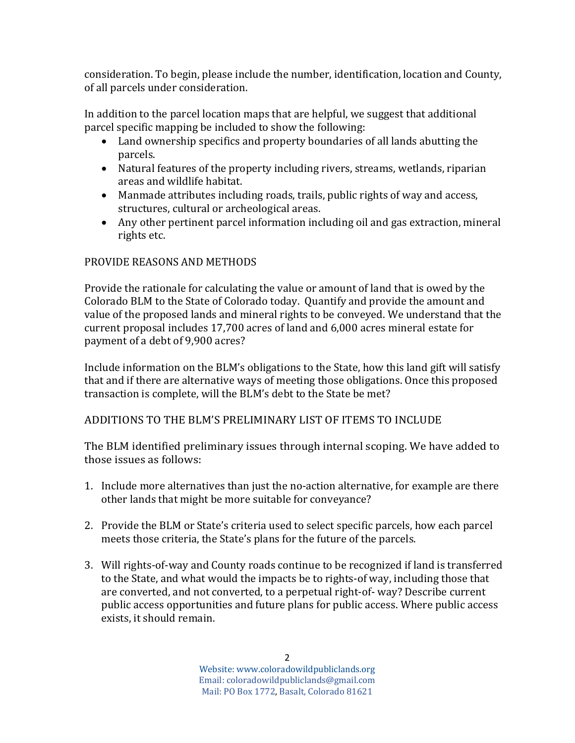consideration. To begin, please include the number, identification, location and County, of all parcels under consideration.

In addition to the parcel location maps that are helpful, we suggest that additional parcel specific mapping be included to show the following:

- Land ownership specifics and property boundaries of all lands abutting the parcels.
- Natural features of the property including rivers, streams, wetlands, riparian areas and wildlife habitat.
- Manmade attributes including roads, trails, public rights of way and access, structures, cultural or archeological areas.
- Any other pertinent parcel information including oil and gas extraction, mineral rights etc.

# PROVIDE REASONS AND METHODS

Provide the rationale for calculating the value or amount of land that is owed by the Colorado BLM to the State of Colorado today. Quantify and provide the amount and value of the proposed lands and mineral rights to be conveyed. We understand that the current proposal includes 17,700 acres of land and 6,000 acres mineral estate for payment of a debt of 9,900 acres?

Include information on the BLM's obligations to the State, how this land gift will satisfy that and if there are alternative ways of meeting those obligations. Once this proposed transaction is complete, will the BLM's debt to the State be met?

# ADDITIONS TO THE BLM'S PRELIMINARY LIST OF ITEMS TO INCLUDE

The BLM identified preliminary issues through internal scoping. We have added to those issues as follows:

- 1. Include more alternatives than just the no-action alternative, for example are there other lands that might be more suitable for conveyance?
- 2. Provide the BLM or State's criteria used to select specific parcels, how each parcel meets those criteria, the State's plans for the future of the parcels.
- 3. Will rights-of-way and County roads continue to be recognized if land is transferred to the State, and what would the impacts be to rights-of way, including those that are converted, and not converted, to a perpetual right-of- way? Describe current public access opportunities and future plans for public access. Where public access exists, it should remain.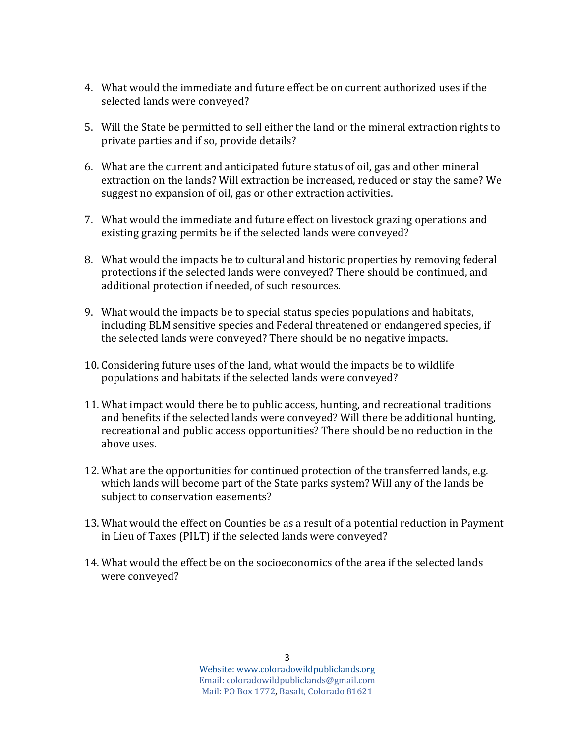- 4. What would the immediate and future effect be on current authorized uses if the selected lands were conveyed?
- 5. Will the State be permitted to sell either the land or the mineral extraction rights to private parties and if so, provide details?
- 6. What are the current and anticipated future status of oil, gas and other mineral extraction on the lands? Will extraction be increased, reduced or stay the same? We suggest no expansion of oil, gas or other extraction activities.
- 7. What would the immediate and future effect on livestock grazing operations and existing grazing permits be if the selected lands were conveyed?
- 8. What would the impacts be to cultural and historic properties by removing federal protections if the selected lands were conveyed? There should be continued, and additional protection if needed, of such resources.
- 9. What would the impacts be to special status species populations and habitats, including BLM sensitive species and Federal threatened or endangered species, if the selected lands were conveyed? There should be no negative impacts.
- 10. Considering future uses of the land, what would the impacts be to wildlife populations and habitats if the selected lands were conveyed?
- 11. What impact would there be to public access, hunting, and recreational traditions and benefits if the selected lands were conveyed? Will there be additional hunting, recreational and public access opportunities? There should be no reduction in the above uses.
- 12. What are the opportunities for continued protection of the transferred lands, e.g. which lands will become part of the State parks system? Will any of the lands be subject to conservation easements?
- 13. What would the effect on Counties be as a result of a potential reduction in Payment in Lieu of Taxes (PILT) if the selected lands were conveyed?
- 14. What would the effect be on the socioeconomics of the area if the selected lands were conveyed?